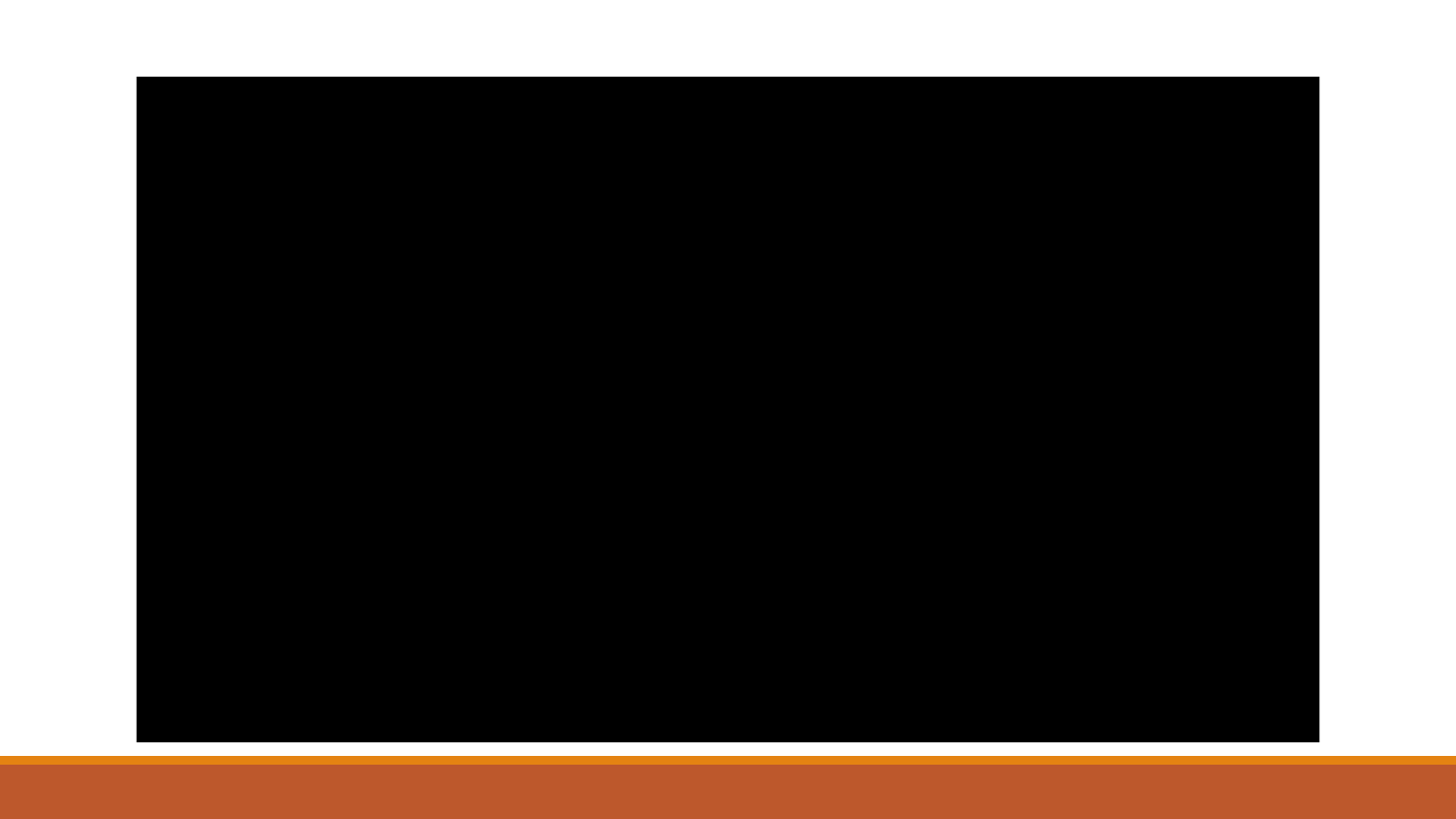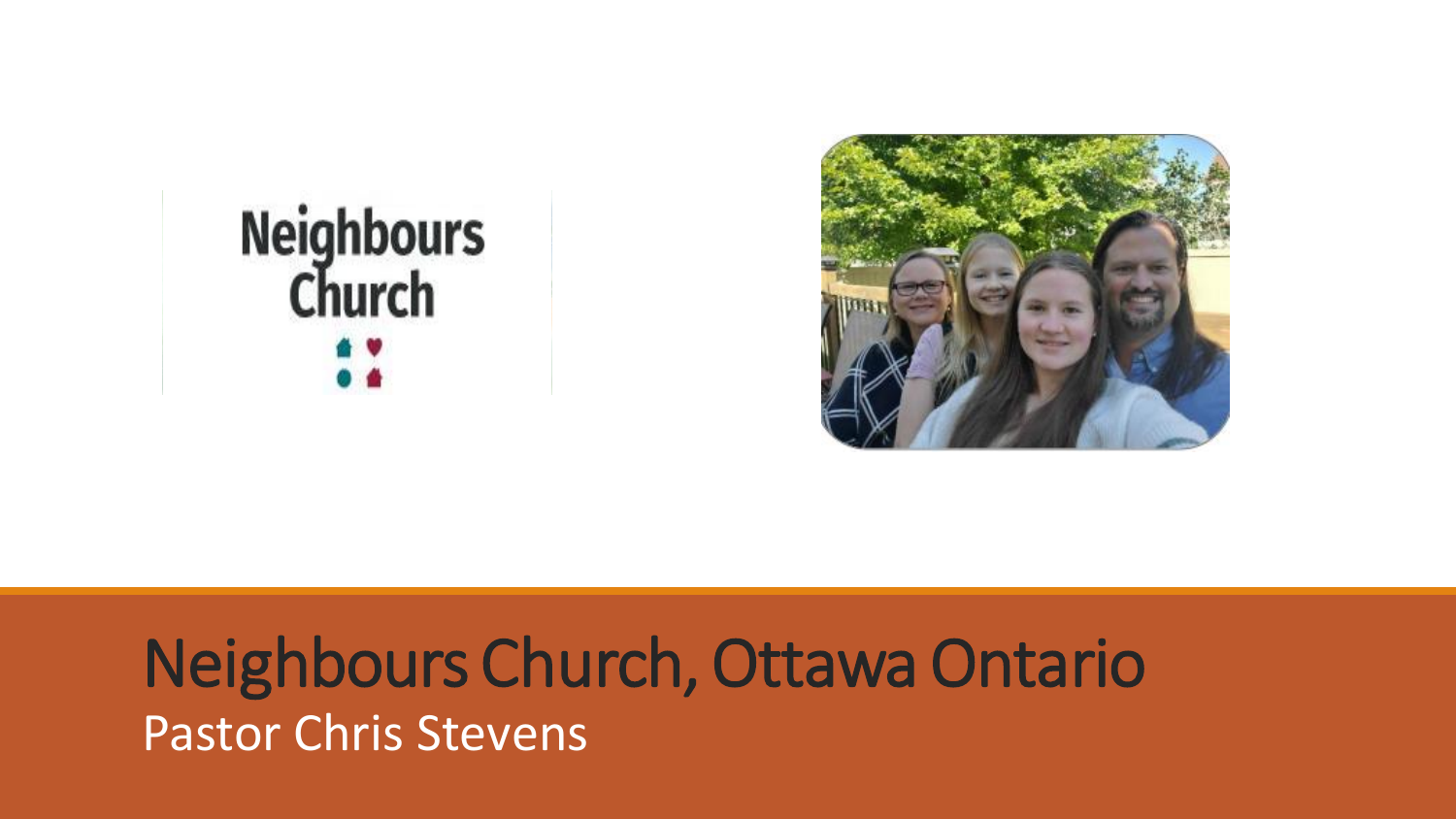# **Neighbours<br>Church**



# Neighbours Church, Ottawa Ontario Pastor Chris Stevens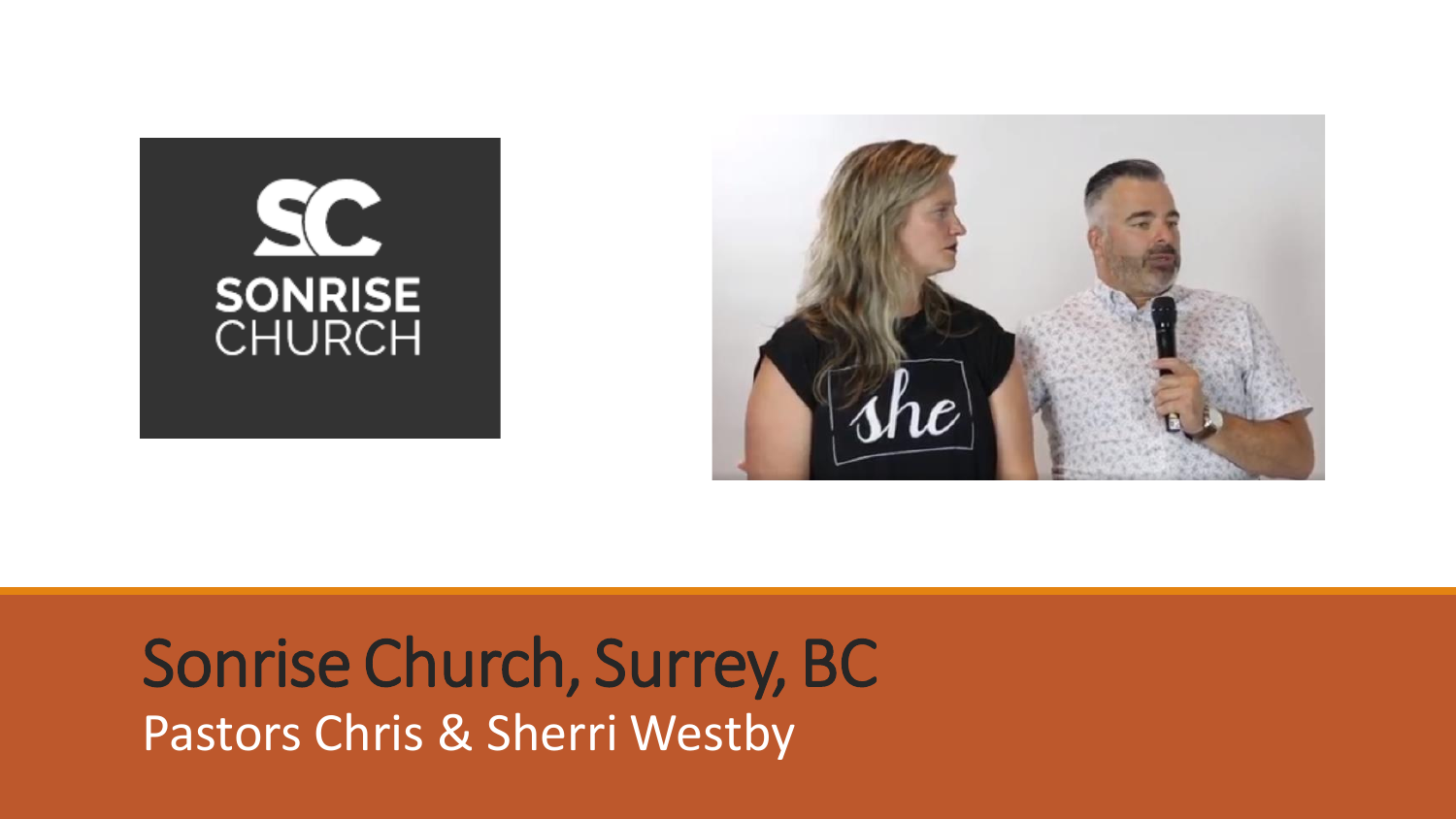



## Sonrise Church, Surrey, BC Pastors Chris & Sherri Westby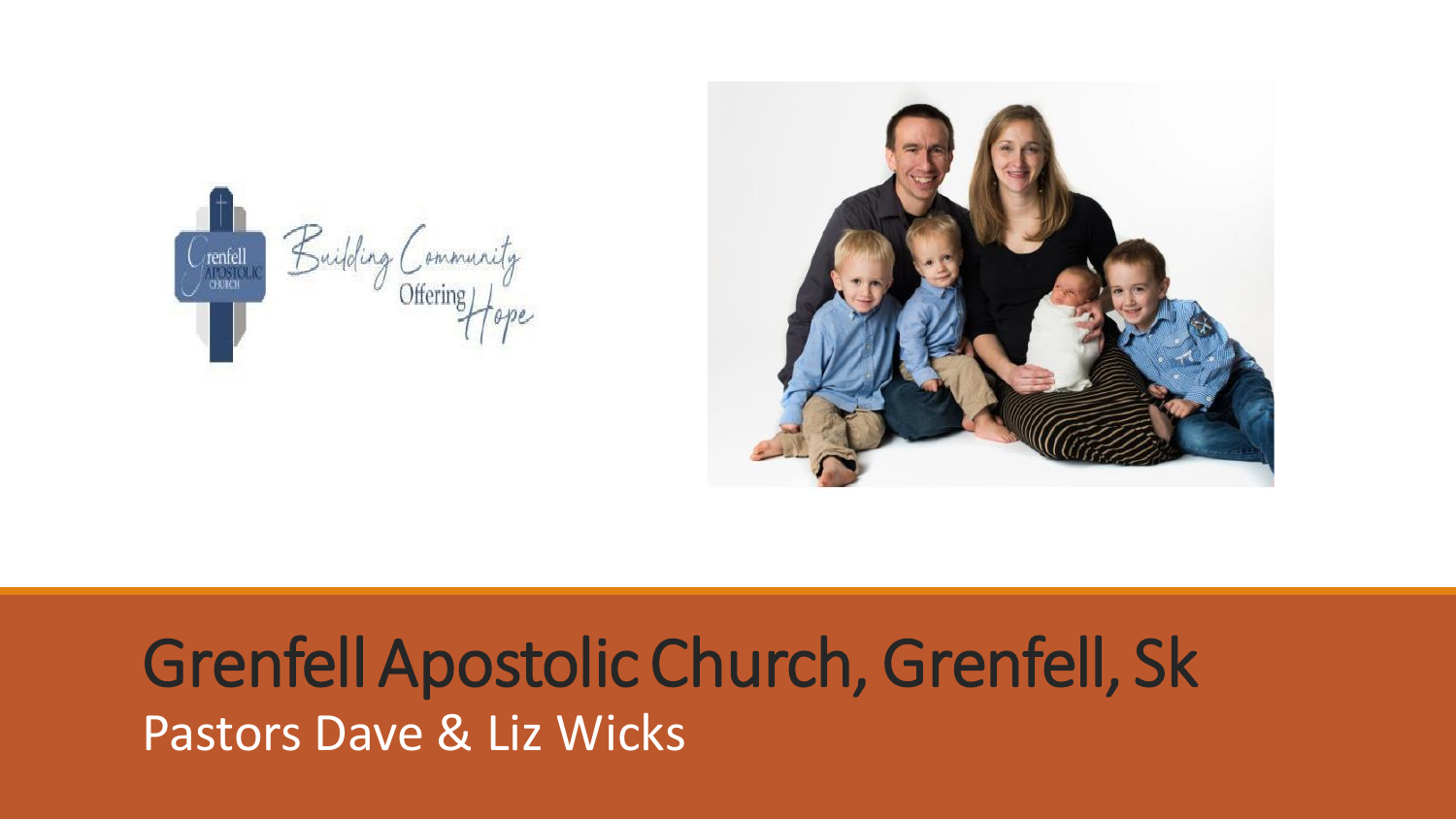



# Grenfell Apostolic Church, Grenfell, Sk Pastors Dave & Liz Wicks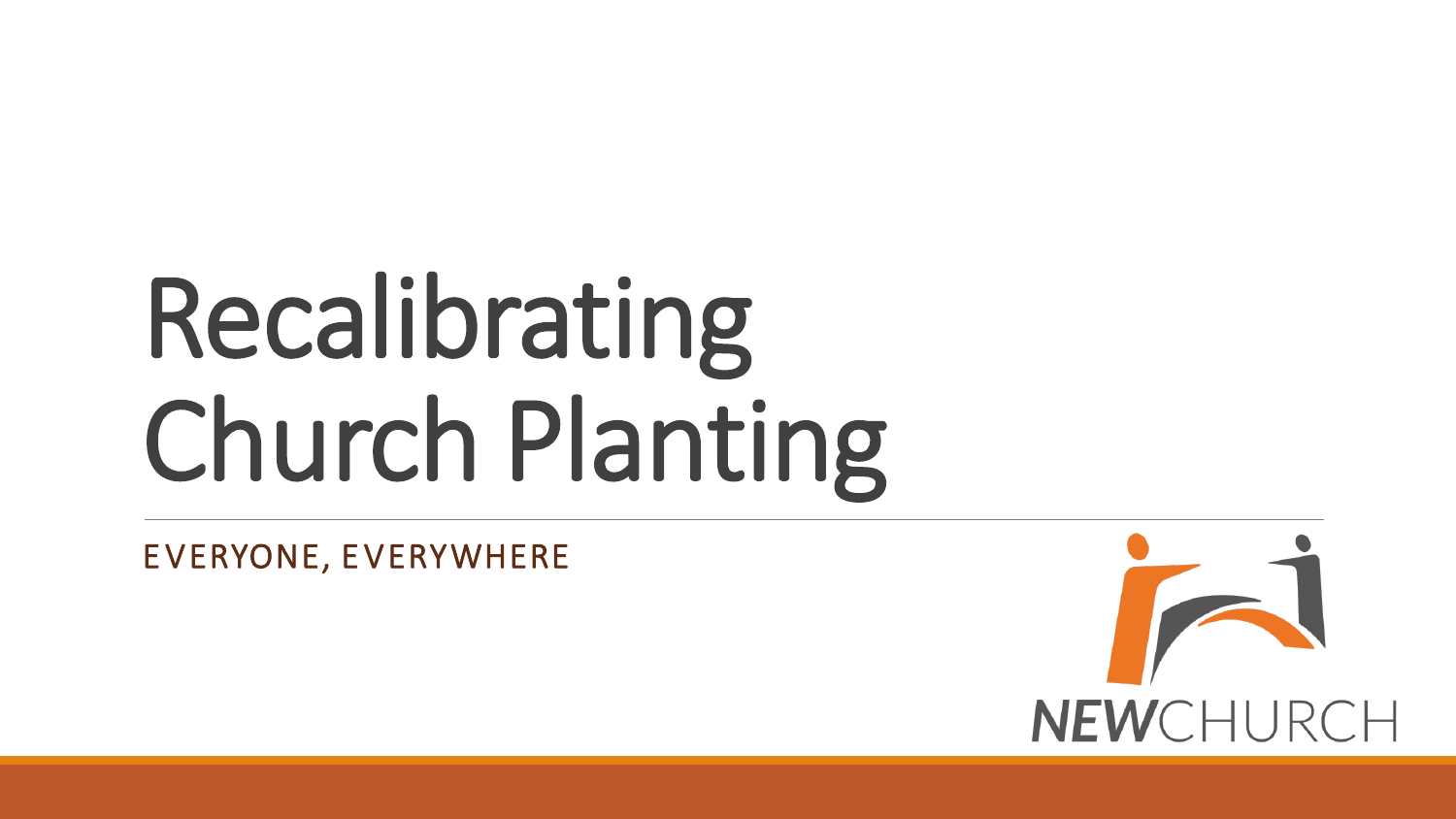# Recalibrating Church Planting

E VERYONE, E VERYWHERE

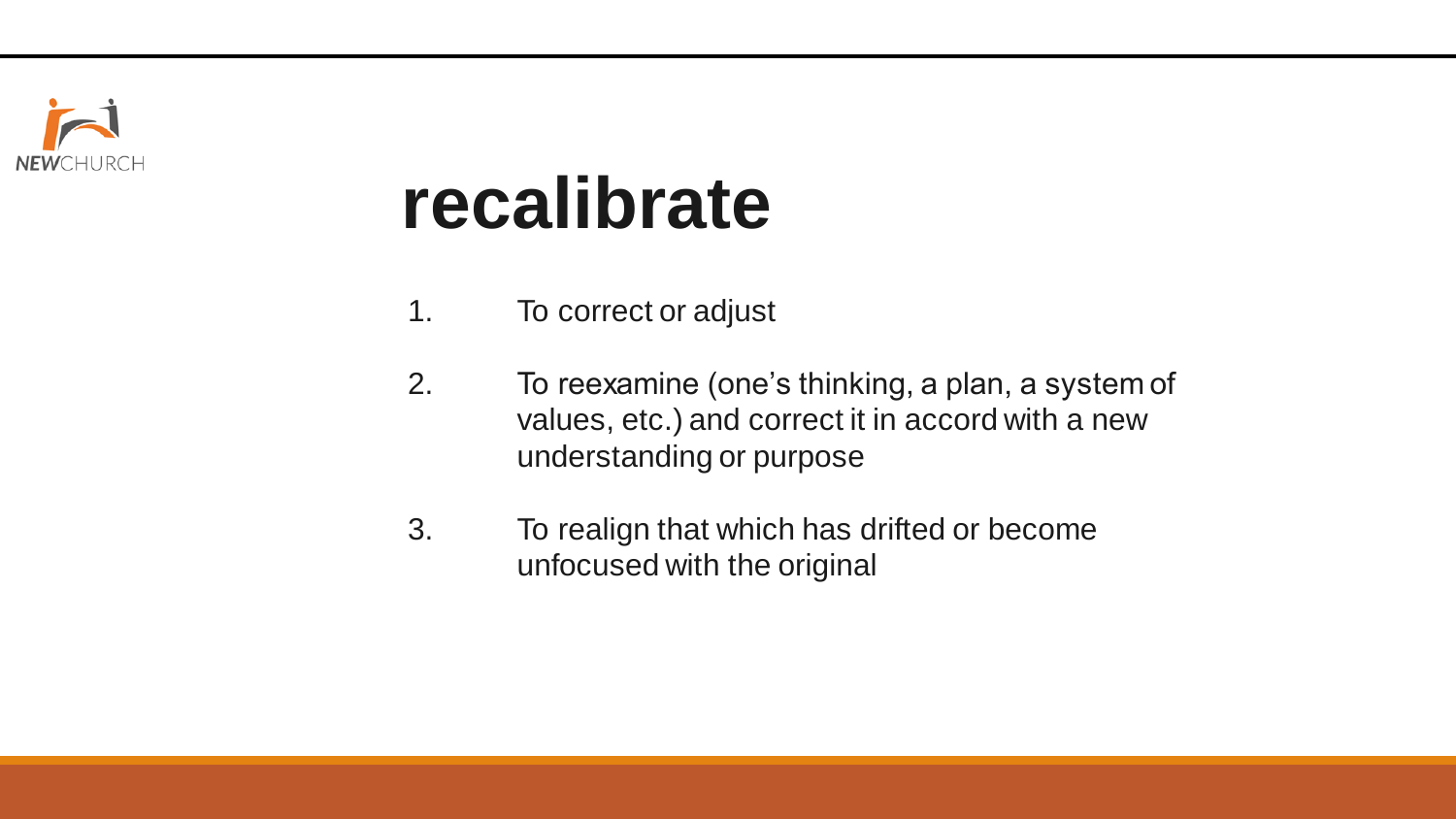

# **recalibrate**

- 1. To correct or adjust
- 2. To reexamine (one's thinking, a plan, a system of values, etc.) and correct it in accord with a new understanding or purpose
- 3. To realign that which has drifted or become unfocused with the original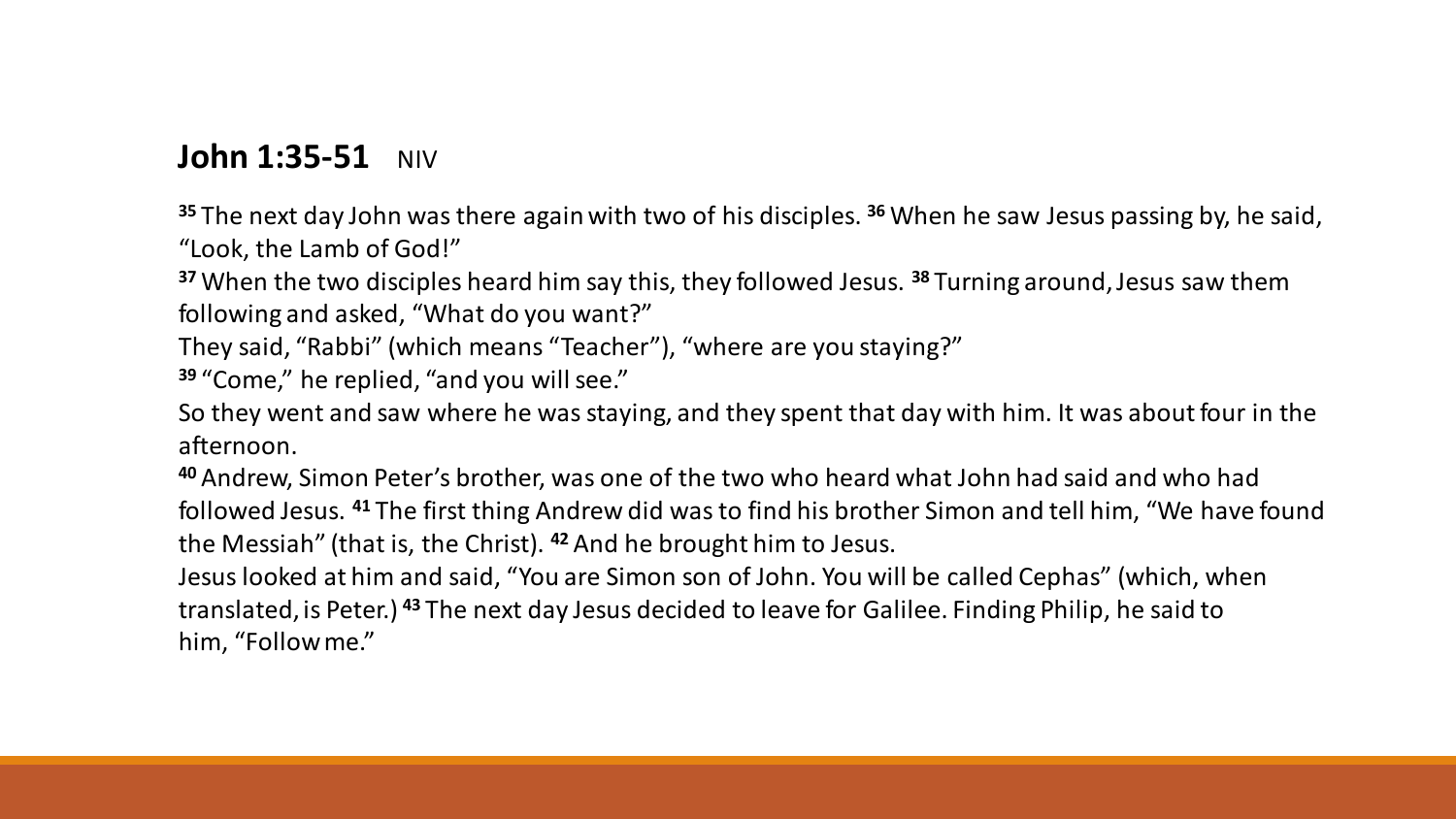#### **John 1:35-51** NIV

**<sup>35</sup>** The next day John was there again with two of his disciples. **<sup>36</sup>** When he saw Jesus passing by, he said, "Look, the Lamb of God!"

**<sup>37</sup>** When the two disciples heard him say this, they followed Jesus. **<sup>38</sup>** Turning around, Jesus saw them following and asked, "What do you want?"

They said, "Rabbi" (which means "Teacher"), "where are you staying?"

**<sup>39</sup>** "Come," he replied, "and you will see."

So they went and saw where he was staying, and they spent that day with him. It was about four in the afternoon.

**<sup>40</sup>** Andrew, Simon Peter's brother, was one of the two who heard what John had said and who had followed Jesus. **<sup>41</sup>** The first thing Andrew did was to find his brother Simon and tell him, "We have found the Messiah" (that is, the Christ). **<sup>42</sup>** And he brought him to Jesus.

Jesus looked at him and said, "You are Simon son of John. You will be called Cephas" (which, when translated, is Peter.) **<sup>43</sup>** The next day Jesus decided to leave for Galilee. Finding Philip, he said to him, "Follow me."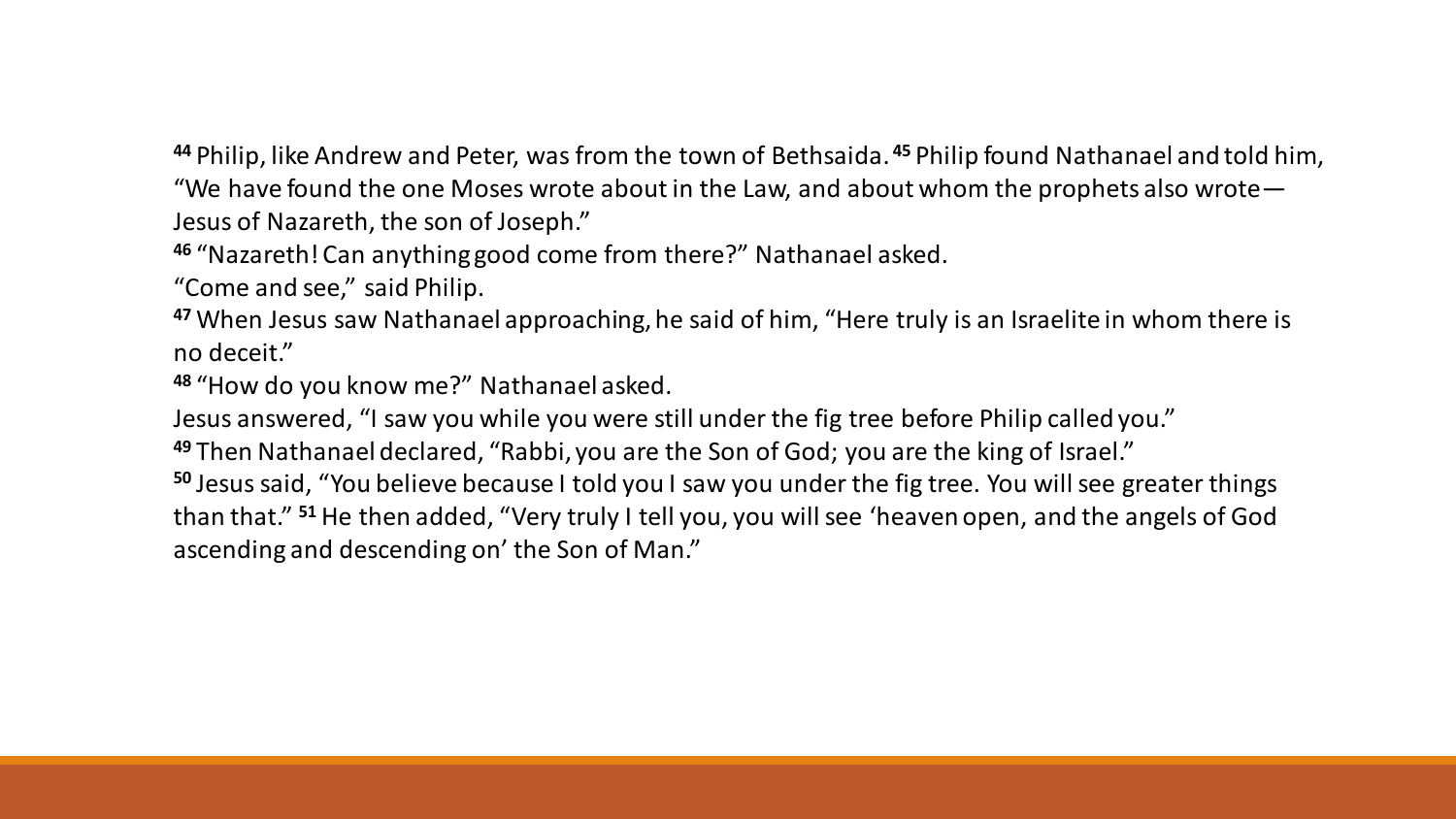**<sup>44</sup>** Philip, like Andrew and Peter, was from the town of Bethsaida. **<sup>45</sup>** Philip found Nathanael and told him, "We have found the one Moses wrote about in the Law, and about whom the prophets also wrote  $-$ Jesus of Nazareth, the son of Joseph."

**<sup>46</sup>** "Nazareth! Can anything good come from there?" Nathanael asked.

"Come and see," said Philip.

**<sup>47</sup>** When Jesus saw Nathanael approaching, he said of him, "Here truly is an Israelite in whom there is no deceit."

**<sup>48</sup>** "How do you know me?" Nathanael asked.

Jesus answered, "I saw you while you were still under the fig tree before Philip called you."

**<sup>49</sup>** Then Nathanael declared, "Rabbi, you are the Son of God; you are the king of Israel."

**<sup>50</sup>** Jesus said, "You believe because I told you I saw you under the fig tree. You will see greater things than that." **<sup>51</sup>** He then added, "Very truly I tell you, you will see 'heaven open, and the angels of God ascending and descending on' the Son of Man."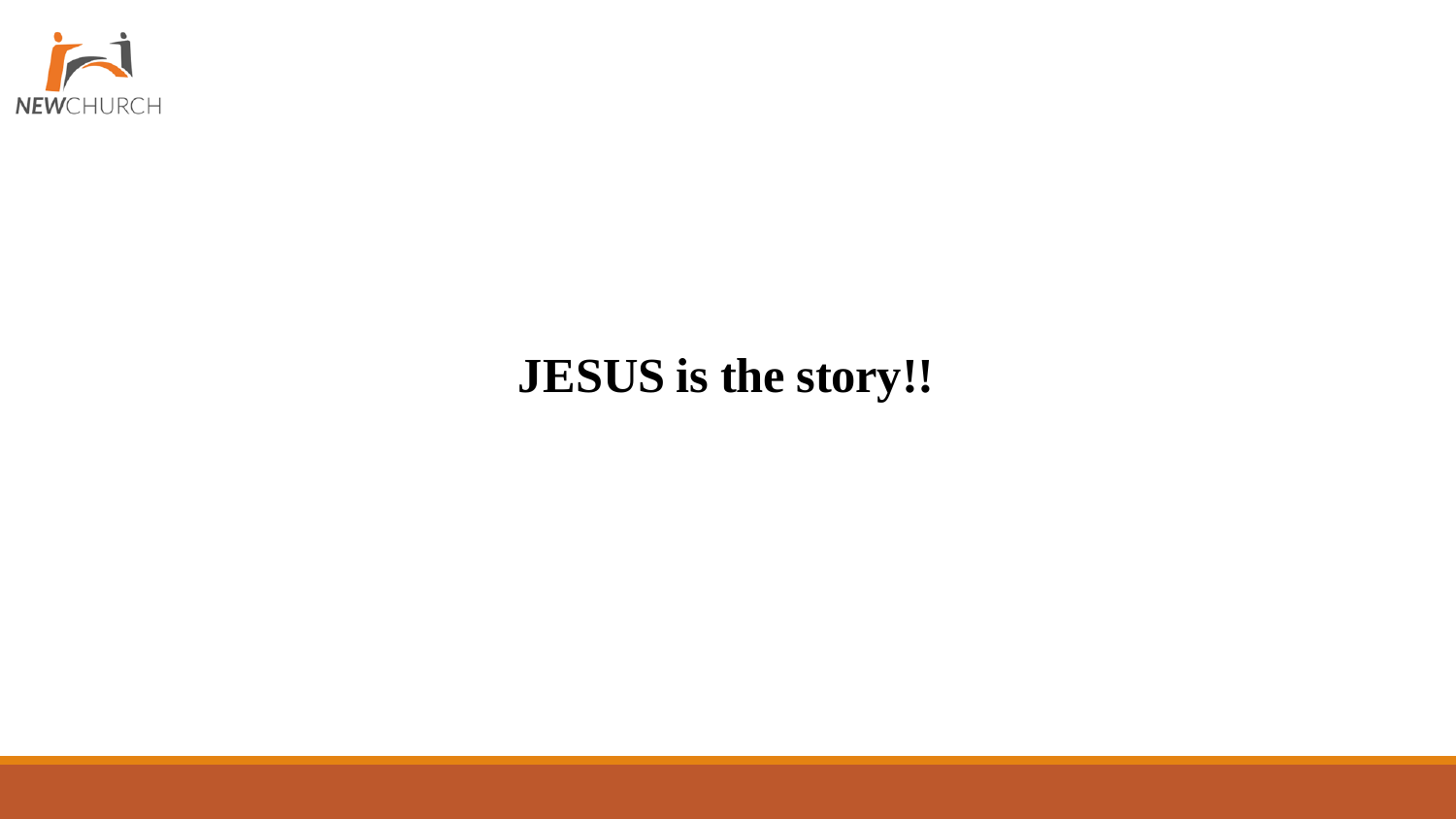

#### **JESUS is the story!!**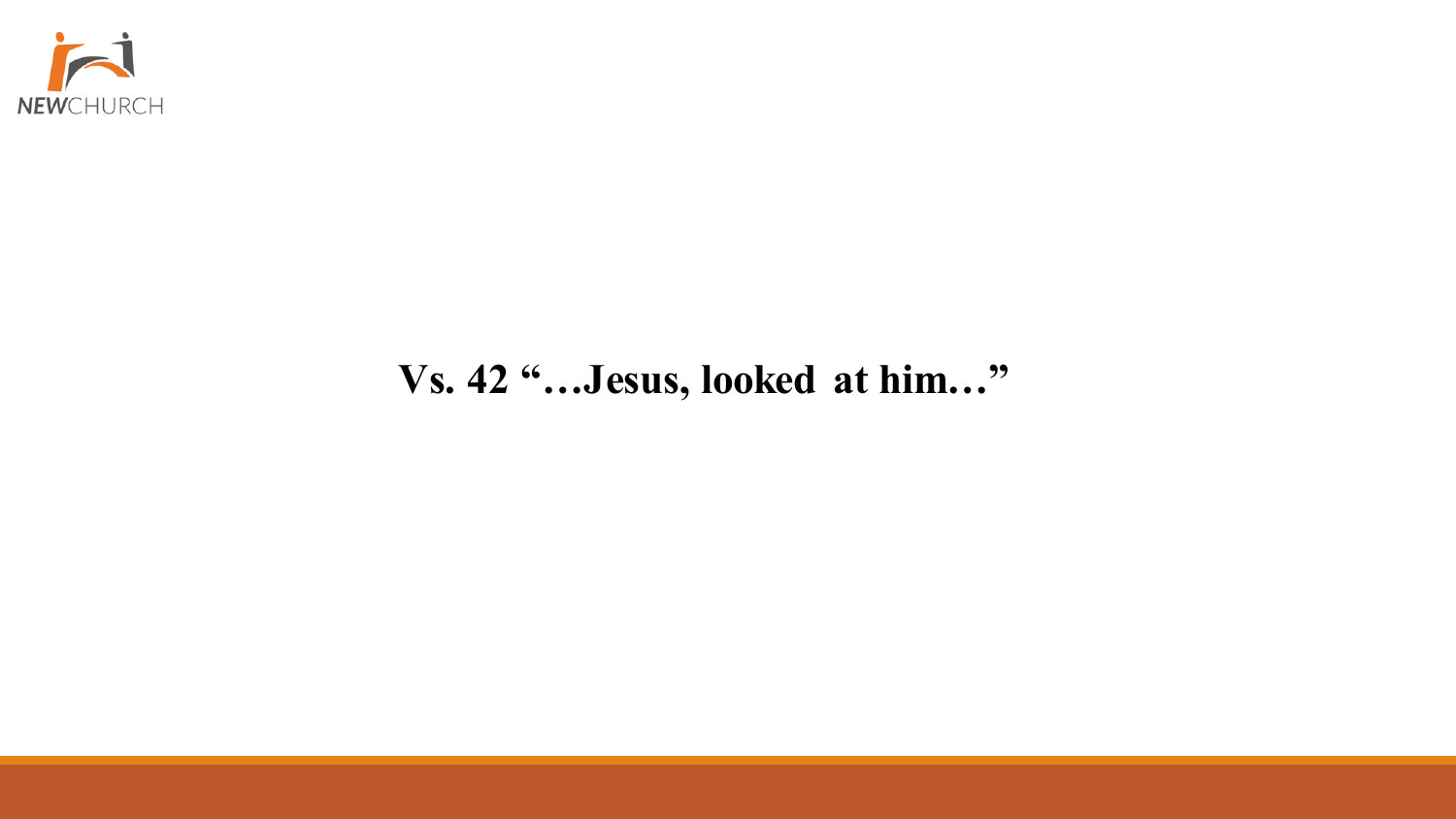

#### **Vs. 42 "…Jesus, looked at him…"**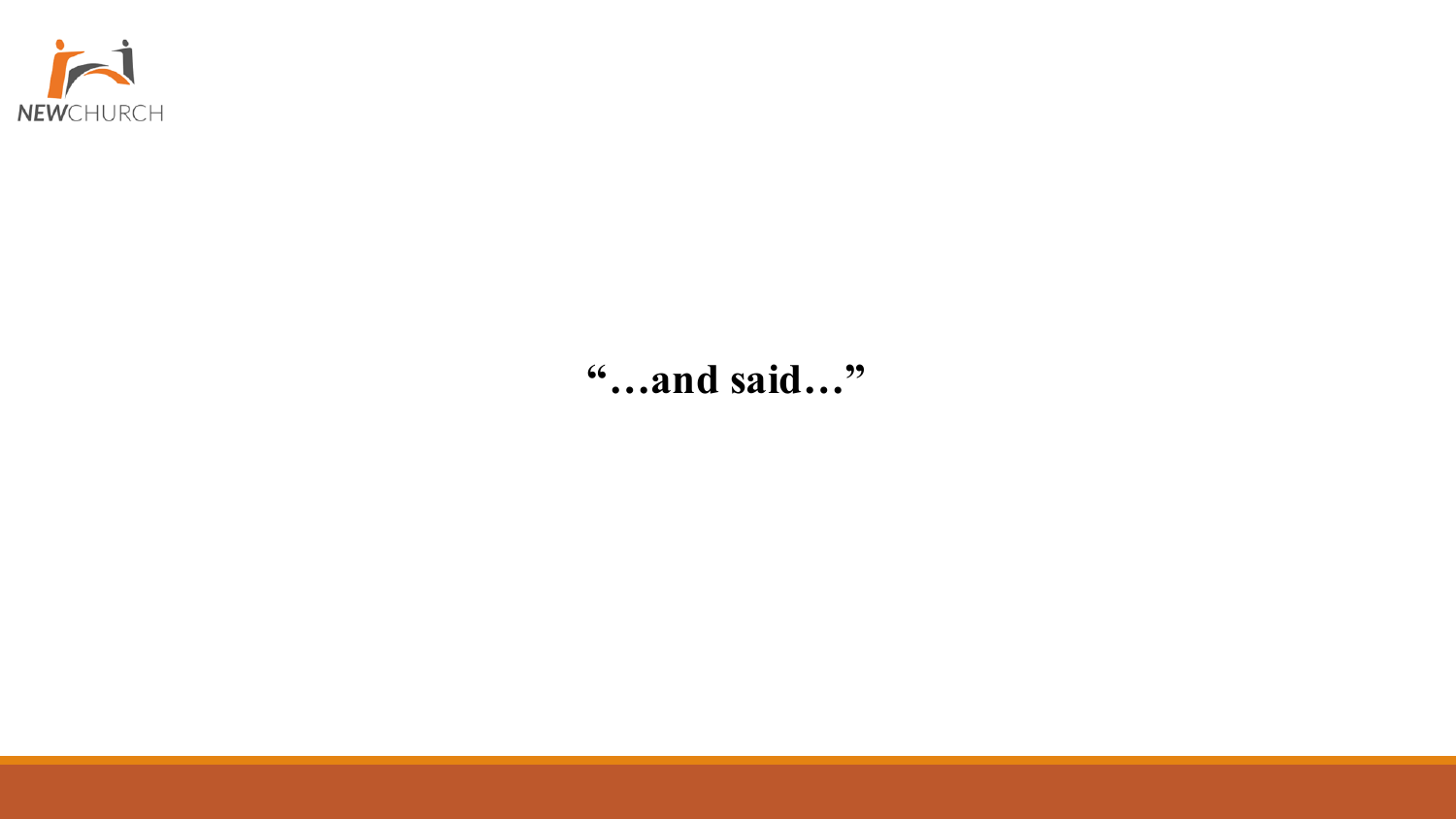

#### **"…and said…"**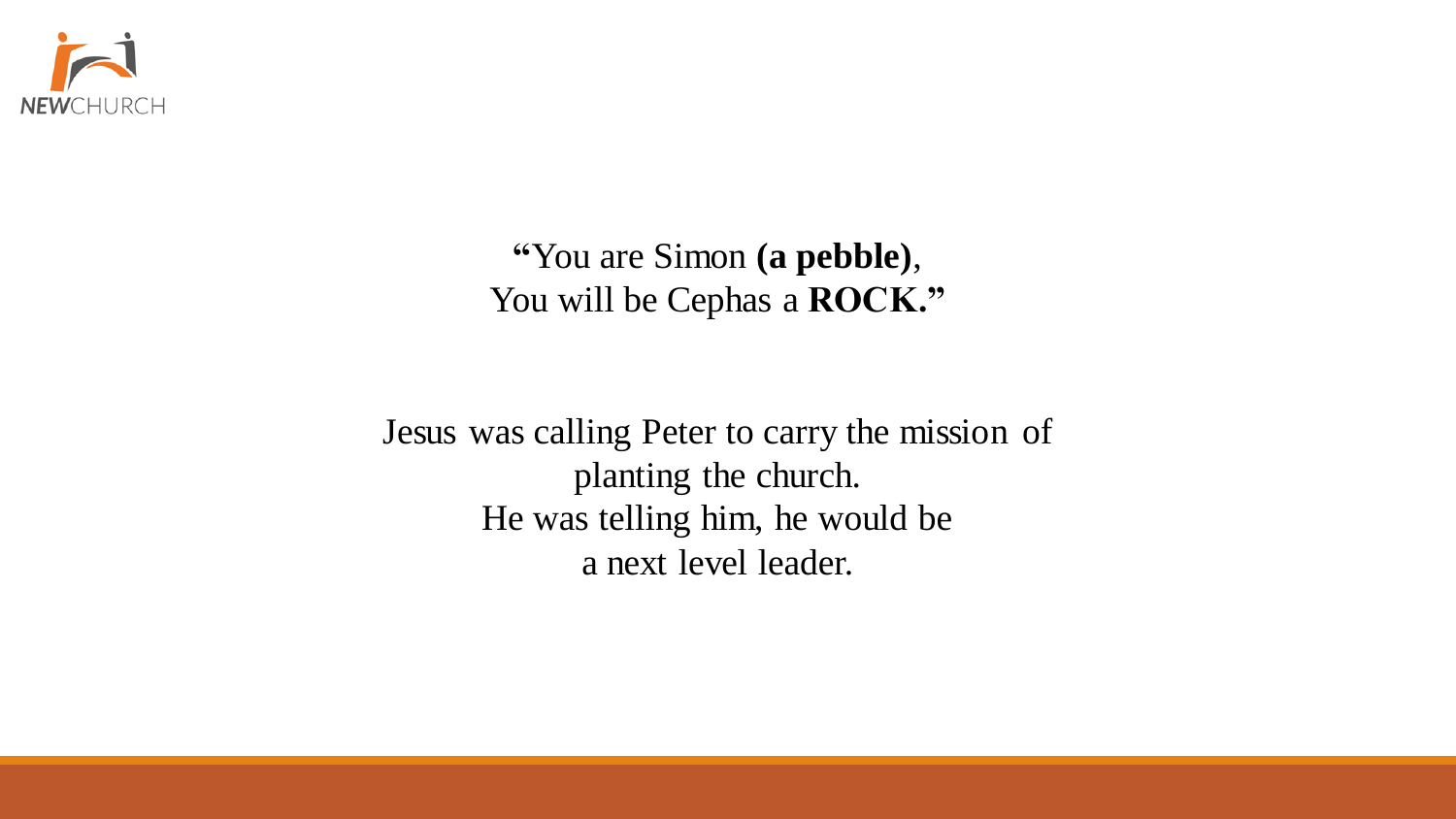

**"**You are Simon **(a pebble)**, You will be Cephas a **ROCK."** 

Jesus was calling Peter to carry the mission of planting the church. He was telling him, he would be a next level leader.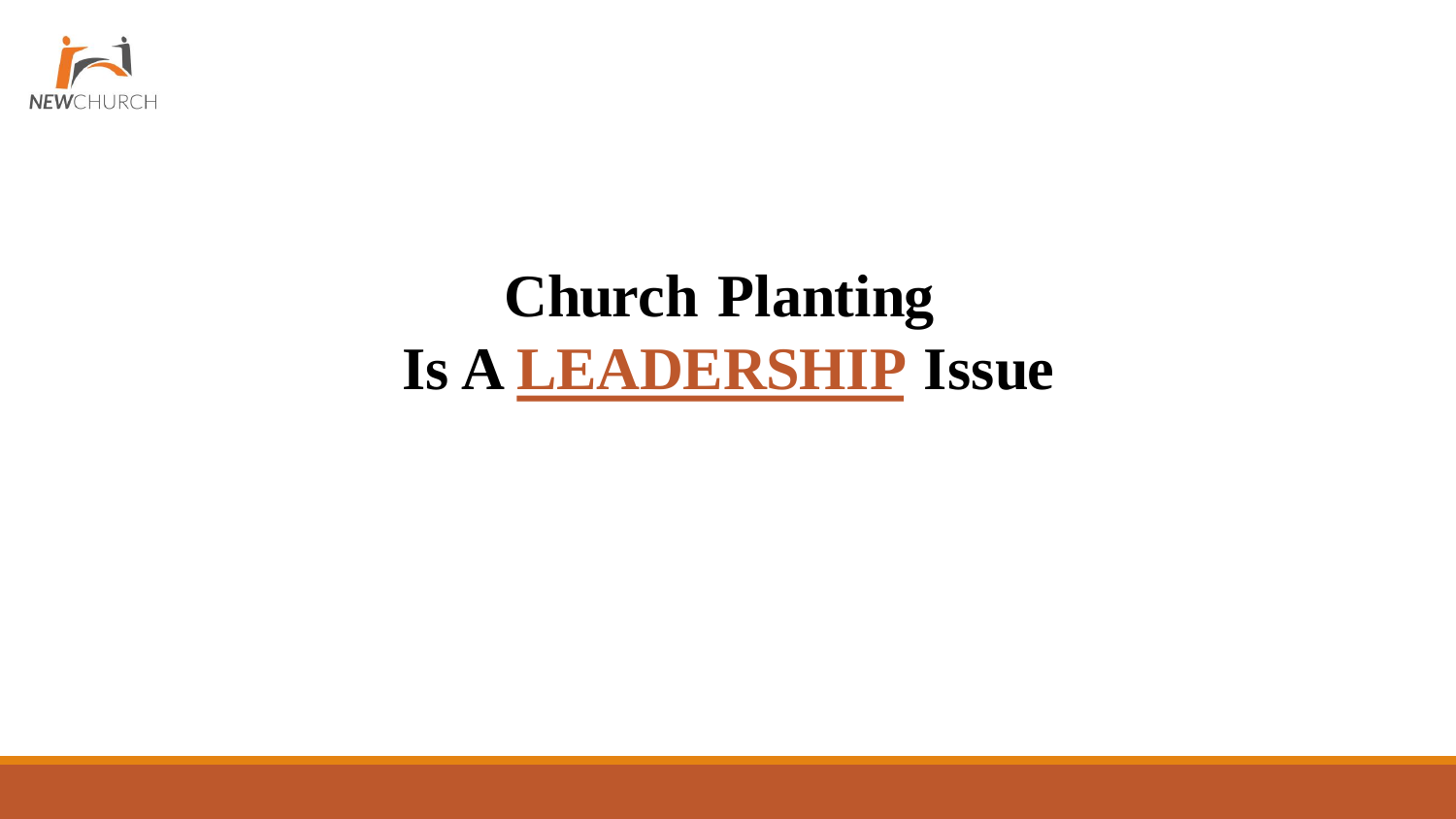

# **Church Planting Is A LEADERSHIP Issue**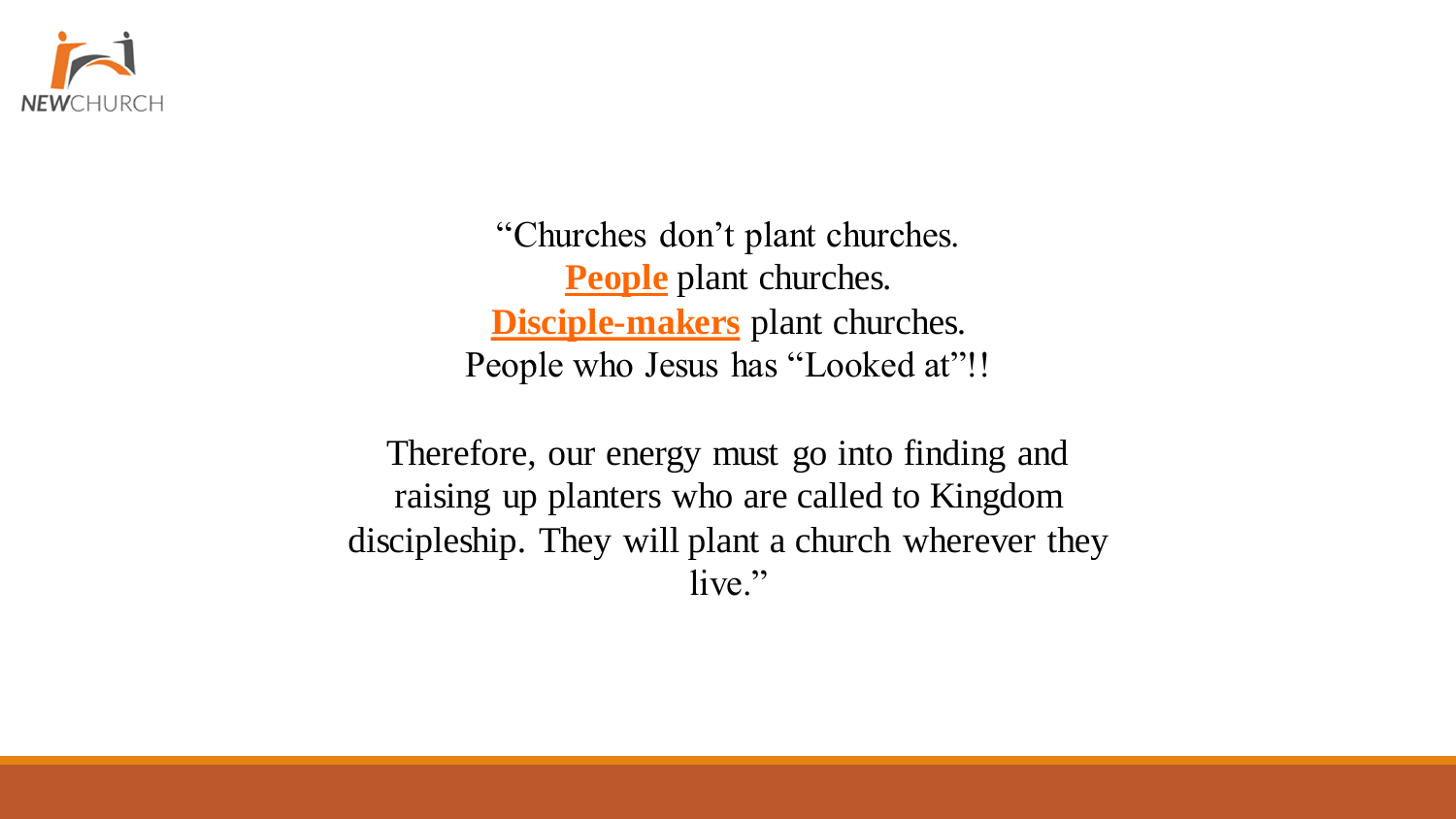

"Churches don't plant churches. **People** plant churches. **Disciple-makers** plant churches. People who Jesus has "Looked at"!!

Therefore, our energy must go into finding and raising up planters who are called to Kingdom discipleship. They will plant a church wherever they live."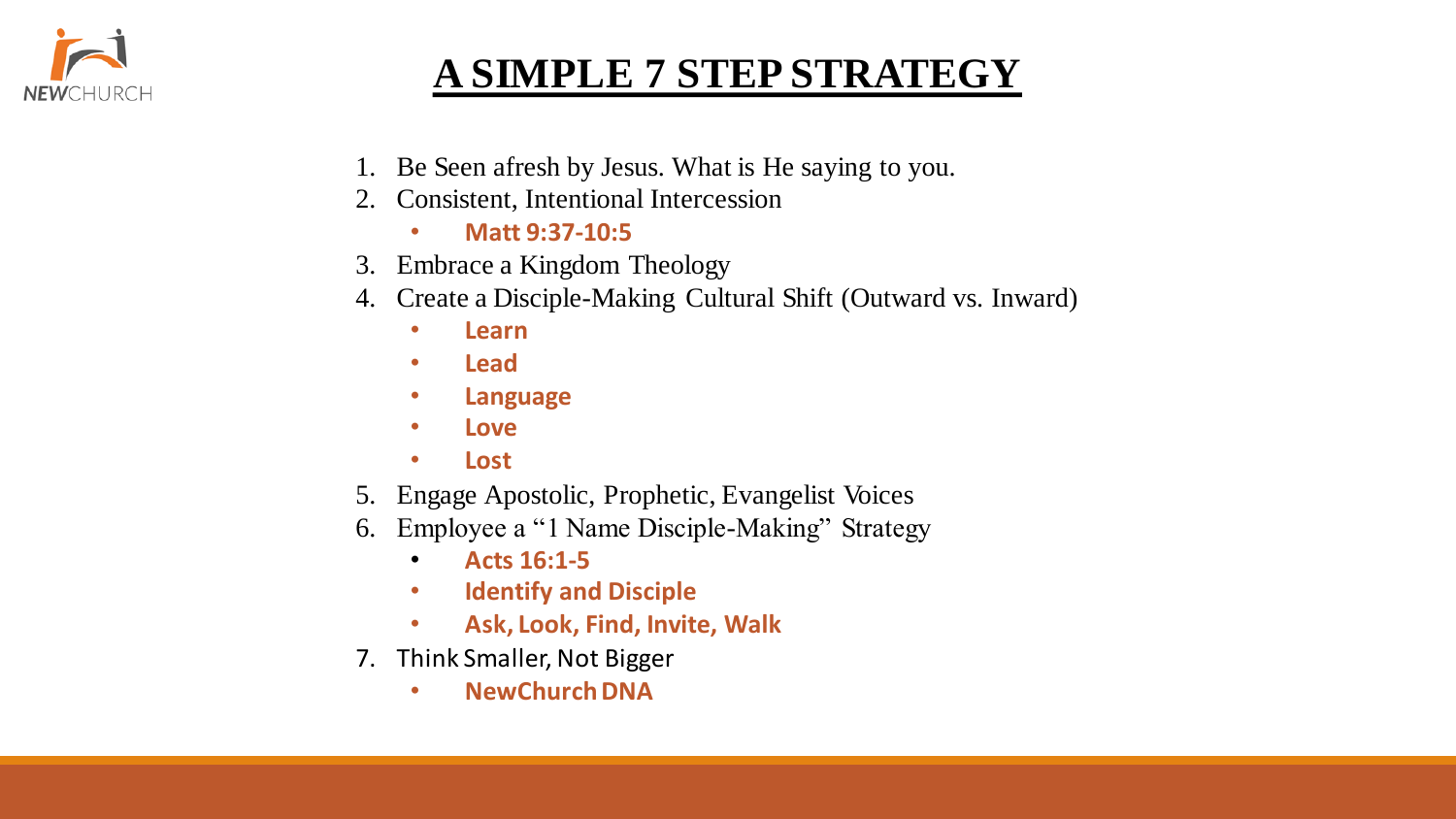

#### **A SIMPLE 7 STEP STRATEGY**

- 1. Be Seen afresh by Jesus. What is He saying to you.
- 2. Consistent, Intentional Intercession
	- **Matt 9:37-10:5**
- 3. Embrace a Kingdom Theology
- 4. Create a Disciple-Making Cultural Shift (Outward vs. Inward)
	- **Learn**
	- **Lead**
	- **Language**
	- **Love**
	- **Lost**
- 5. Engage Apostolic, Prophetic, Evangelist Voices
- 6. Employee a "1 Name Disciple-Making" Strategy
	- **Acts 16:1-5**
	- **Identify and Disciple**
	- **Ask, Look, Find, Invite, Walk**
- 7. Think Smaller, Not Bigger
	- **NewChurch DNA**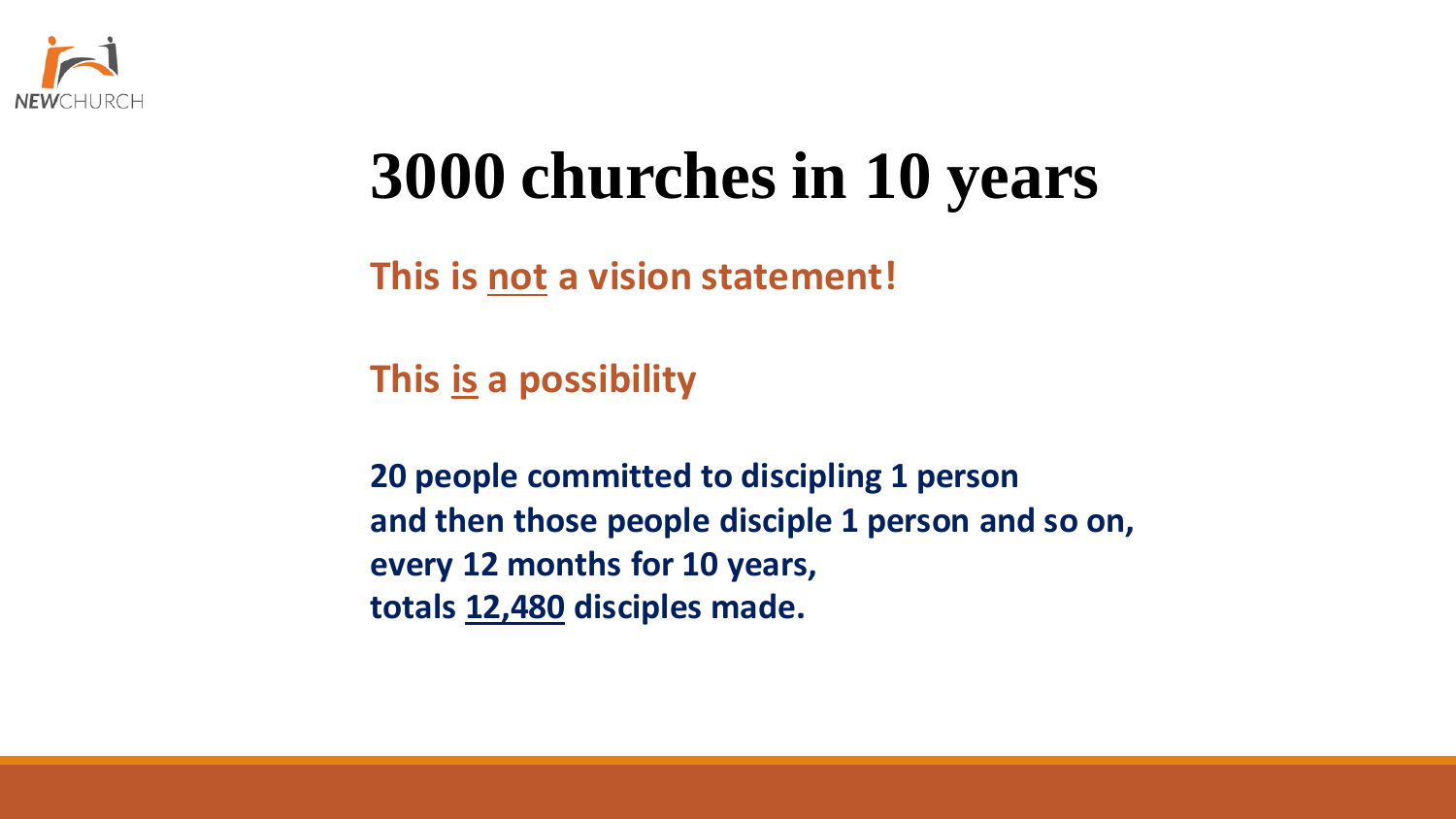

# **3000 churches in 10 years**

**This is not a vision statement!**

**This is a possibility**

**20 people committed to discipling 1 person and then those people disciple 1 person and so on, every 12 months for 10 years, totals 12,480 disciples made.**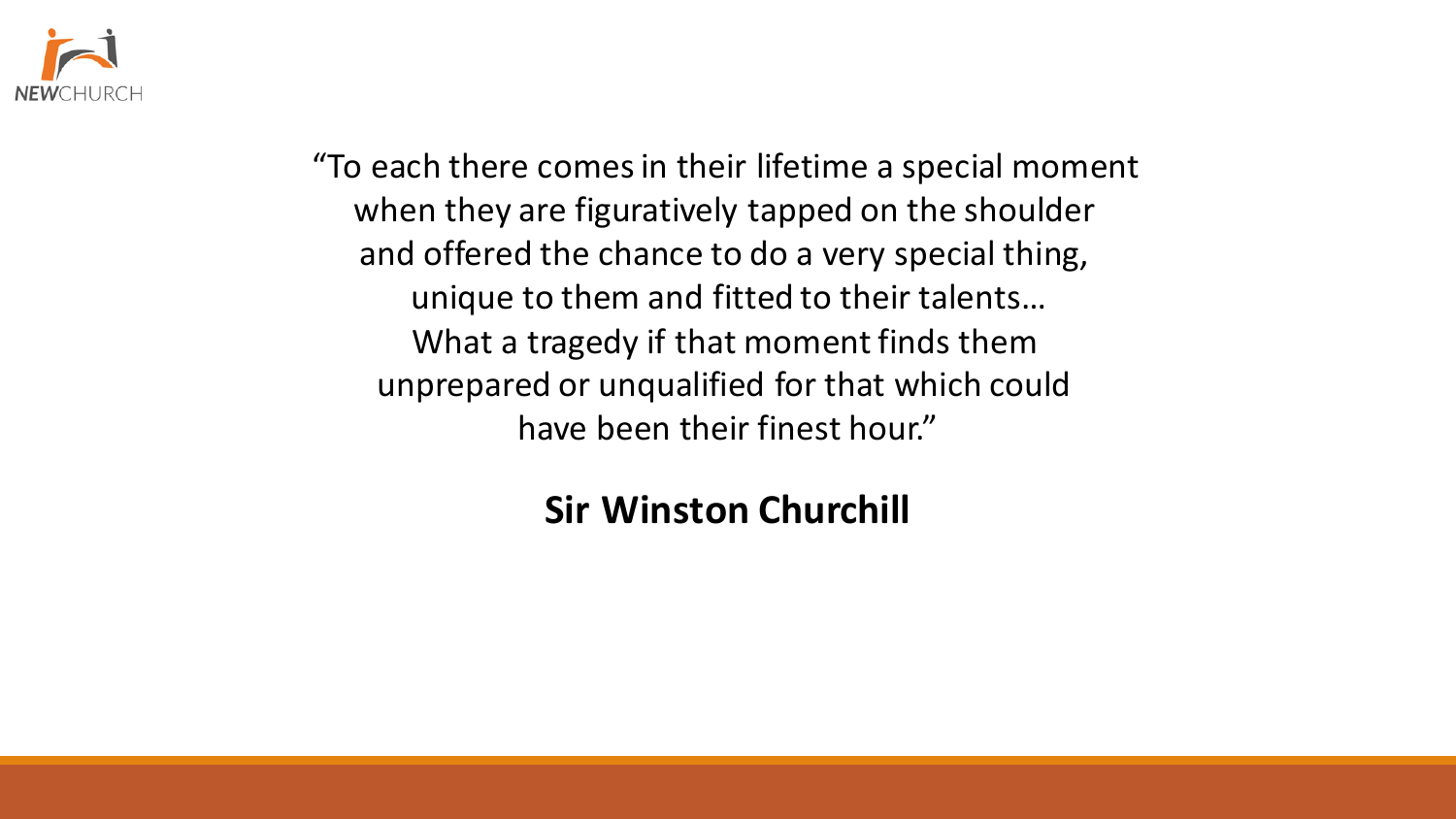

"To each there comes in their lifetime a special moment when they are figuratively tapped on the shoulder and offered the chance to do a very special thing, unique to them and fitted to their talents… What a tragedy if that moment finds them unprepared or unqualified for that which could have been their finest hour."

#### **Sir Winston Churchill**